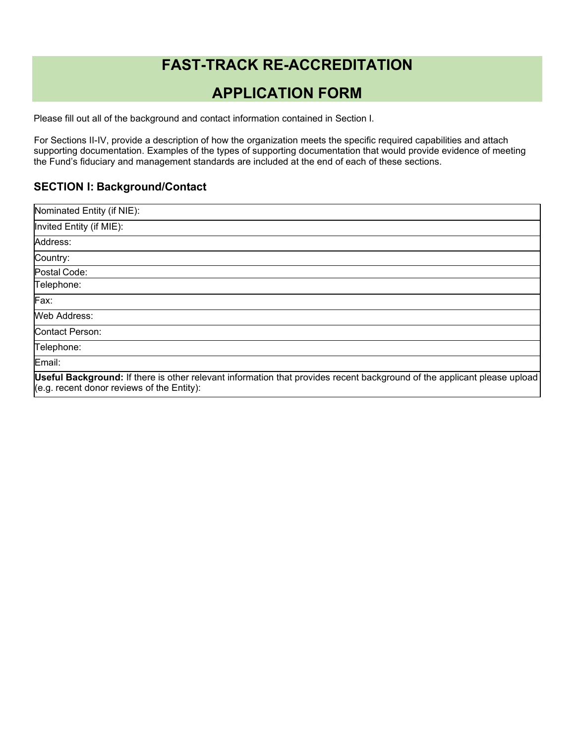# **FAST-TRACK RE-ACCREDITATION**

# **APPLICATION FORM**

Please fill out all of the background and contact information contained in Section I.

For Sections II-IV, provide a description of how the organization meets the specific required capabilities and attach supporting documentation. Examples of the types of supporting documentation that would provide evidence of meeting the Fund's fiduciary and management standards are included at the end of each of these sections.

#### **SECTION I: Background/Contact**

| Nominated Entity (if NIE):                                                                                                                                             |
|------------------------------------------------------------------------------------------------------------------------------------------------------------------------|
| Invited Entity (if MIE):                                                                                                                                               |
| Address:                                                                                                                                                               |
| Country:                                                                                                                                                               |
| Postal Code:                                                                                                                                                           |
| Telephone:                                                                                                                                                             |
| Fax:                                                                                                                                                                   |
| Web Address:                                                                                                                                                           |
| Contact Person:                                                                                                                                                        |
| Telephone:                                                                                                                                                             |
| Email:                                                                                                                                                                 |
| Useful Background: If there is other relevant information that provides recent background of the applicant please upload<br>(e.g. recent donor reviews of the Entity): |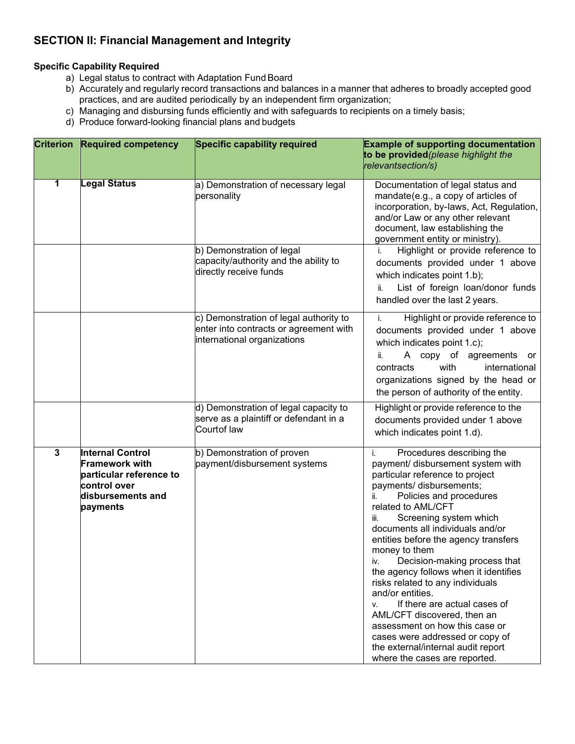# **SECTION II: Financial Management and Integrity**

#### **Specific Capability Required**

- a) Legal status to contract with Adaptation Fund Board
- b) Accurately and regularly record transactions and balances in a manner that adheres to broadly accepted good practices, and are audited periodically by an independent firm organization;
- c) Managing and disbursing funds efficiently and with safeguards to recipients on a timely basis;
- d) Produce forward-looking financial plans and budgets

| <b>Criterion</b> | <b>Required competency</b>                                                                                                   | <b>Specific capability required</b>                                                                             | <b>Example of supporting documentation</b><br>to be provided (please highlight the<br>relevantsection/s)                                                                                                                                                                                                                                                                                                                                                                                                                                                                                                                                                                                  |
|------------------|------------------------------------------------------------------------------------------------------------------------------|-----------------------------------------------------------------------------------------------------------------|-------------------------------------------------------------------------------------------------------------------------------------------------------------------------------------------------------------------------------------------------------------------------------------------------------------------------------------------------------------------------------------------------------------------------------------------------------------------------------------------------------------------------------------------------------------------------------------------------------------------------------------------------------------------------------------------|
| 1                | <b>Legal Status</b>                                                                                                          | a) Demonstration of necessary legal<br>personality                                                              | Documentation of legal status and<br>mandate(e.g., a copy of articles of<br>incorporation, by-laws, Act, Regulation,<br>and/or Law or any other relevant<br>document, law establishing the<br>government entity or ministry).                                                                                                                                                                                                                                                                                                                                                                                                                                                             |
|                  |                                                                                                                              | b) Demonstration of legal<br>capacity/authority and the ability to<br>directly receive funds                    | Highlight or provide reference to<br>documents provided under 1 above<br>which indicates point 1.b);<br>List of foreign loan/donor funds<br>ii.<br>handled over the last 2 years.                                                                                                                                                                                                                                                                                                                                                                                                                                                                                                         |
|                  |                                                                                                                              | c) Demonstration of legal authority to<br>enter into contracts or agreement with<br>international organizations | Highlight or provide reference to<br>i.<br>documents provided under 1 above<br>which indicates point 1.c);<br>A copy of agreements or<br>ii.<br>contracts<br>with<br>international<br>organizations signed by the head or<br>the person of authority of the entity.                                                                                                                                                                                                                                                                                                                                                                                                                       |
|                  |                                                                                                                              | d) Demonstration of legal capacity to<br>serve as a plaintiff or defendant in a<br>Courtof law                  | Highlight or provide reference to the<br>documents provided under 1 above<br>which indicates point 1.d).                                                                                                                                                                                                                                                                                                                                                                                                                                                                                                                                                                                  |
| $\mathbf{3}$     | <b>Internal Control</b><br><b>Framework with</b><br>particular reference to<br>control over<br>disbursements and<br>payments | b) Demonstration of proven<br>payment/disbursement systems                                                      | Procedures describing the<br>i.<br>payment/ disbursement system with<br>particular reference to project<br>payments/ disbursements;<br>Policies and procedures<br>ii.<br>related to AML/CFT<br>Screening system which<br>iii.<br>documents all individuals and/or<br>entities before the agency transfers<br>money to them<br>iv. Decision-making process that<br>the agency follows when it identifies<br>risks related to any individuals<br>and/or entities.<br>If there are actual cases of<br>$V_{\rm r}$<br>AML/CFT discovered, then an<br>assessment on how this case or<br>cases were addressed or copy of<br>the external/internal audit report<br>where the cases are reported. |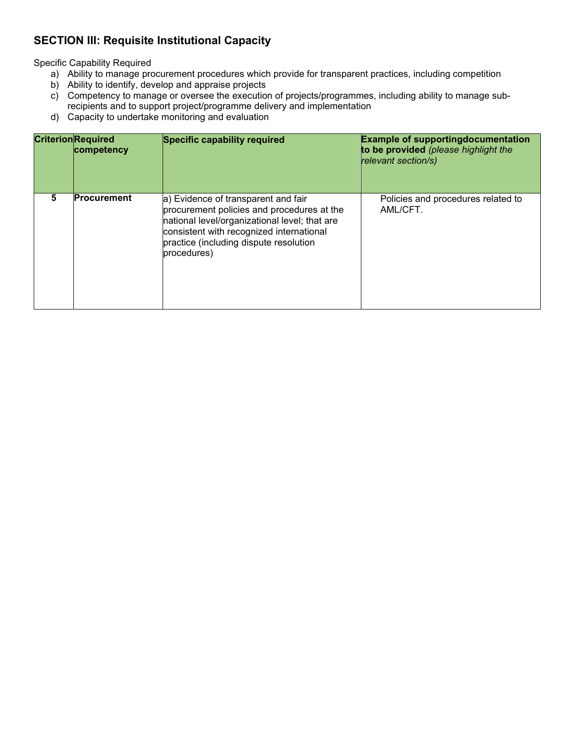### **SECTION III: Requisite Institutional Capacity**

Specific Capability Required

- a) Ability to manage procurement procedures which provide for transparent practices, including competition
- b) Ability to identify, develop and appraise projects
- c) Competency to manage or oversee the execution of projects/programmes, including ability to manage subrecipients and to support project/programme delivery and implementation
- d) Capacity to undertake monitoring and evaluation

|   | <b>CriterionRequired</b><br>competency | Specific capability required                                                                                                                                                                                                            | <b>Example of supportingdocumentation</b><br>to be provided (please highlight the<br>relevant section/s) |
|---|----------------------------------------|-----------------------------------------------------------------------------------------------------------------------------------------------------------------------------------------------------------------------------------------|----------------------------------------------------------------------------------------------------------|
| 5 | <b>Procurement</b>                     | a) Evidence of transparent and fair<br>procurement policies and procedures at the<br>national level/organizational level; that are<br>consistent with recognized international<br>practice (including dispute resolution<br>procedures) | Policies and procedures related to<br>AML/CFT.                                                           |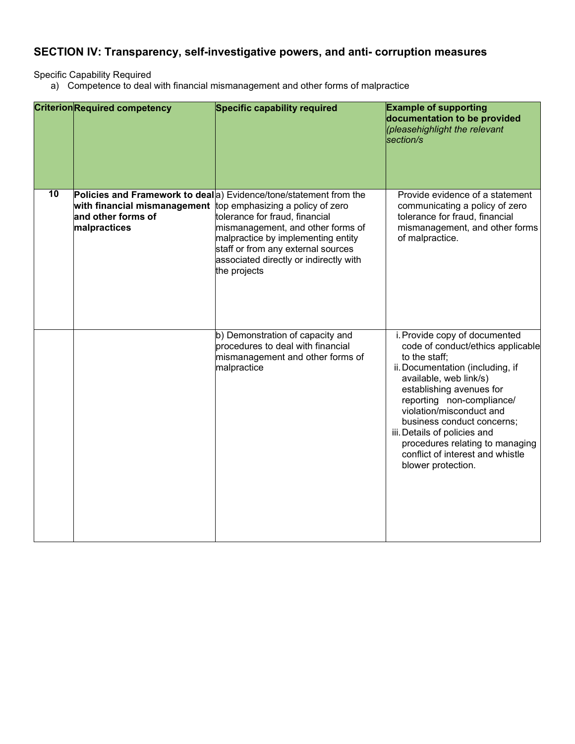## **SECTION IV: Transparency, self-investigative powers, and anti- corruption measures**

Specific Capability Required

a) Competence to deal with financial mismanagement and other forms of malpractice

|    | <b>Criterion Required competency</b>                                                                | <b>Specific capability required</b>                                                                                                                                                                                                                                             | <b>Example of supporting</b><br>documentation to be provided<br>(pleasehighlight the relevant<br>section/s                                                                                                                                                                                                                                                                                        |
|----|-----------------------------------------------------------------------------------------------------|---------------------------------------------------------------------------------------------------------------------------------------------------------------------------------------------------------------------------------------------------------------------------------|---------------------------------------------------------------------------------------------------------------------------------------------------------------------------------------------------------------------------------------------------------------------------------------------------------------------------------------------------------------------------------------------------|
| 10 | with financial mismanagement top emphasizing a policy of zero<br>and other forms of<br>malpractices | Policies and Framework to deal a) Evidence/tone/statement from the<br>tolerance for fraud, financial<br>mismanagement, and other forms of<br>malpractice by implementing entity<br>staff or from any external sources<br>associated directly or indirectly with<br>the projects | Provide evidence of a statement<br>communicating a policy of zero<br>tolerance for fraud, financial<br>mismanagement, and other forms<br>of malpractice.                                                                                                                                                                                                                                          |
|    |                                                                                                     | b) Demonstration of capacity and<br>procedures to deal with financial<br>mismanagement and other forms of<br>malpractice                                                                                                                                                        | i. Provide copy of documented<br>code of conduct/ethics applicable<br>to the staff;<br>ii. Documentation (including, if<br>available, web link/s)<br>establishing avenues for<br>reporting non-compliance/<br>violation/misconduct and<br>business conduct concerns;<br>iii. Details of policies and<br>procedures relating to managing<br>conflict of interest and whistle<br>blower protection. |